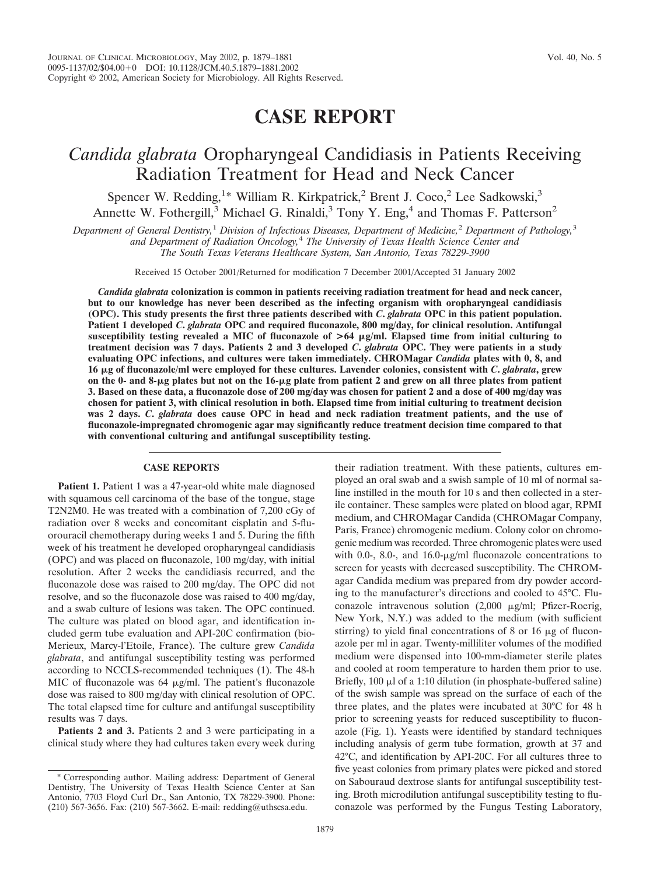## **CASE REPORT**

## *Candida glabrata* Oropharyngeal Candidiasis in Patients Receiving Radiation Treatment for Head and Neck Cancer

Spencer W. Redding,<sup>1\*</sup> William R. Kirkpatrick,<sup>2</sup> Brent J. Coco,<sup>2</sup> Lee Sadkowski,<sup>3</sup> Annette W. Fothergill, $3$  Michael G. Rinaldi, $3$  Tony Y. Eng, $4$  and Thomas F. Patterson<sup>2</sup>

*Department of General Dentistry,*<sup>1</sup> *Division of Infectious Diseases, Department of Medicine,*<sup>2</sup> *Department of Pathology,*<sup>3</sup> *and Department of Radiation Oncology,*<sup>4</sup> *The University of Texas Health Science Center and The South Texas Veterans Healthcare System, San Antonio, Texas 78229-3900*

Received 15 October 2001/Returned for modification 7 December 2001/Accepted 31 January 2002

*Candida glabrata* **colonization is common in patients receiving radiation treatment for head and neck cancer, but to our knowledge has never been described as the infecting organism with oropharyngeal candidiasis (OPC). This study presents the first three patients described with** *C***.** *glabrata* **OPC in this patient population. Patient 1 developed** *C***.** *glabrata* **OPC and required fluconazole, 800 mg/day, for clinical resolution. Antifungal susceptibility testing revealed a MIC of fluconazole of >64 g/ml. Elapsed time from initial culturing to treatment decision was 7 days. Patients 2 and 3 developed** *C***.** *glabrata* **OPC. They were patients in a study evaluating OPC infections, and cultures were taken immediately. CHROMagar** *Candida* **plates with 0, 8, and 16 g of fluconazole/ml were employed for these cultures. Lavender colonies, consistent with** *C***.** *glabrata***, grew on the 0- and 8-g plates but not on the 16-g plate from patient 2 and grew on all three plates from patient 3. Based on these data, a fluconazole dose of 200 mg/day was chosen for patient 2 and a dose of 400 mg/day was chosen for patient 3, with clinical resolution in both. Elapsed time from initial culturing to treatment decision was 2 days.** *C***.** *glabrata* **does cause OPC in head and neck radiation treatment patients, and the use of fluconazole-impregnated chromogenic agar may significantly reduce treatment decision time compared to that with conventional culturing and antifungal susceptibility testing.**

## **CASE REPORTS**

Patient 1. Patient 1 was a 47-year-old white male diagnosed with squamous cell carcinoma of the base of the tongue, stage T2N2M0. He was treated with a combination of 7,200 cGy of radiation over 8 weeks and concomitant cisplatin and 5-fluorouracil chemotherapy during weeks 1 and 5. During the fifth week of his treatment he developed oropharyngeal candidiasis (OPC) and was placed on fluconazole, 100 mg/day, with initial resolution. After 2 weeks the candidiasis recurred, and the fluconazole dose was raised to 200 mg/day. The OPC did not resolve, and so the fluconazole dose was raised to 400 mg/day, and a swab culture of lesions was taken. The OPC continued. The culture was plated on blood agar, and identification included germ tube evaluation and API-20C confirmation (bio-Merieux, Marcy-l'Etoile, France). The culture grew *Candida glabrata*, and antifungal susceptibility testing was performed according to NCCLS-recommended techniques (1). The 48-h MIC of fluconazole was  $64 \mu g/ml$ . The patient's fluconazole dose was raised to 800 mg/day with clinical resolution of OPC. The total elapsed time for culture and antifungal susceptibility results was 7 days.

**Patients 2 and 3.** Patients 2 and 3 were participating in a clinical study where they had cultures taken every week during their radiation treatment. With these patients, cultures employed an oral swab and a swish sample of 10 ml of normal saline instilled in the mouth for 10 s and then collected in a sterile container. These samples were plated on blood agar, RPMI medium, and CHROMagar Candida (CHROMagar Company, Paris, France) chromogenic medium. Colony color on chromogenic medium was recorded. Three chromogenic plates were used with 0.0-, 8.0-, and  $16.0$ - $\mu$ g/ml fluconazole concentrations to screen for yeasts with decreased susceptibility. The CHROMagar Candida medium was prepared from dry powder according to the manufacturer's directions and cooled to 45°C. Fluconazole intravenous solution  $(2,000 \mu g/ml)$ ; Pfizer-Roerig, New York, N.Y.) was added to the medium (with sufficient stirring) to yield final concentrations of 8 or 16  $\mu$ g of fluconazole per ml in agar. Twenty-milliliter volumes of the modified medium were dispensed into 100-mm-diameter sterile plates and cooled at room temperature to harden them prior to use. Briefly,  $100 \mu l$  of a 1:10 dilution (in phosphate-buffered saline) of the swish sample was spread on the surface of each of the three plates, and the plates were incubated at 30°C for 48 h prior to screening yeasts for reduced susceptibility to fluconazole (Fig. 1). Yeasts were identified by standard techniques including analysis of germ tube formation, growth at 37 and 42°C, and identification by API-20C. For all cultures three to five yeast colonies from primary plates were picked and stored on Sabouraud dextrose slants for antifungal susceptibility testing. Broth microdilution antifungal susceptibility testing to fluconazole was performed by the Fungus Testing Laboratory,

Corresponding author. Mailing address: Department of General Dentistry, The University of Texas Health Science Center at San Antonio, 7703 Floyd Curl Dr., San Antonio, TX 78229-3900. Phone: (210) 567-3656. Fax: (210) 567-3662. E-mail: redding@uthscsa.edu.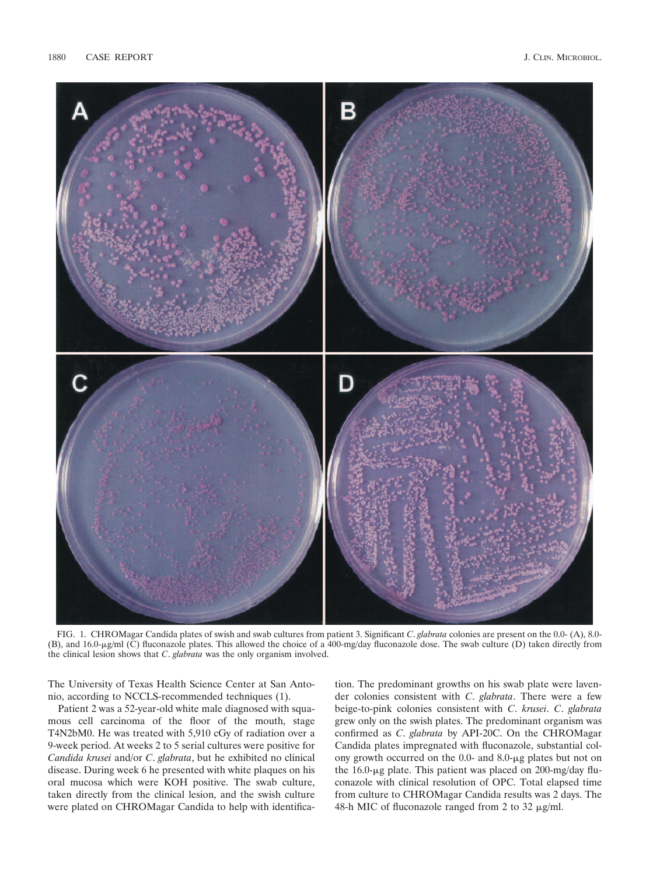

FIG. 1. CHROMagar Candida plates of swish and swab cultures from patient 3. Significant *C*. *glabrata* colonies are present on the 0.0- (A), 8.0- (B), and 16.0-µg/ml (C) fluconazole plates. This allowed the choice of a 400-mg/day fluconazole dose. The swab culture (D) taken directly from the clinical lesion shows that *C*. *glabrata* was the only organism involved.

The University of Texas Health Science Center at San Antonio, according to NCCLS-recommended techniques (1).

Patient 2 was a 52-year-old white male diagnosed with squamous cell carcinoma of the floor of the mouth, stage T4N2bM0. He was treated with 5,910 cGy of radiation over a 9-week period. At weeks 2 to 5 serial cultures were positive for *Candida krusei* and/or *C*. *glabrata*, but he exhibited no clinical disease. During week 6 he presented with white plaques on his oral mucosa which were KOH positive. The swab culture, taken directly from the clinical lesion, and the swish culture were plated on CHROMagar Candida to help with identifica-

tion. The predominant growths on his swab plate were lavender colonies consistent with *C*. *glabrata*. There were a few beige-to-pink colonies consistent with *C*. *krusei*. *C*. *glabrata* grew only on the swish plates. The predominant organism was confirmed as *C*. *glabrata* by API-20C. On the CHROMagar Candida plates impregnated with fluconazole, substantial colony growth occurred on the  $0.0$ - and  $8.0$ - $\mu$ g plates but not on the  $16.0$ - $\mu$ g plate. This patient was placed on  $200$ -mg/day fluconazole with clinical resolution of OPC. Total elapsed time from culture to CHROMagar Candida results was 2 days. The 48-h MIC of fluconazole ranged from 2 to 32  $\mu$ g/ml.